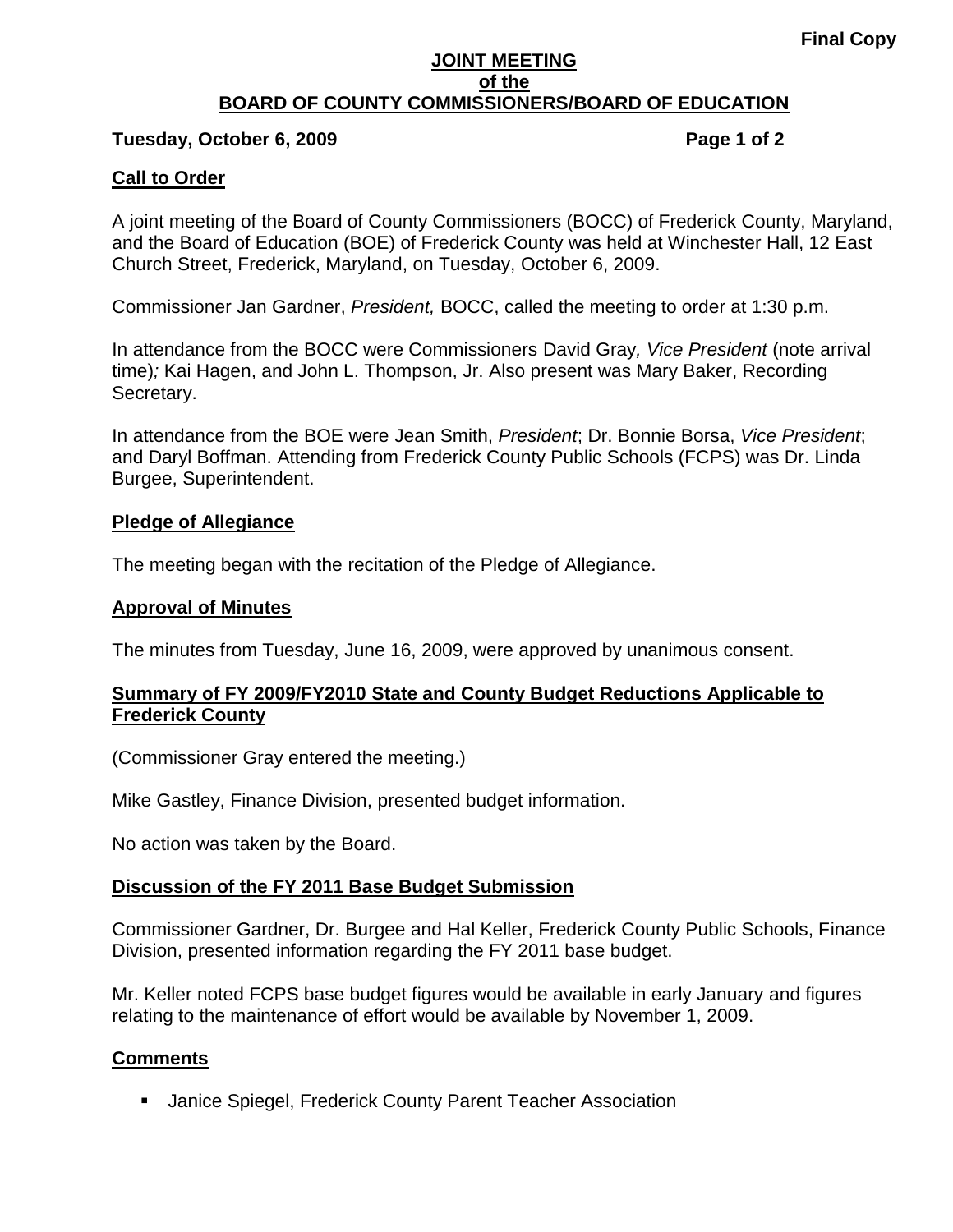#### **JOINT MEETING of the BOARD OF COUNTY COMMISSIONERS/BOARD OF EDUCATION**

#### **Tuesday, October 6, 2009 Page 1 of 2**

## **Call to Order**

A joint meeting of the Board of County Commissioners (BOCC) of Frederick County, Maryland, and the Board of Education (BOE) of Frederick County was held at Winchester Hall, 12 East Church Street, Frederick, Maryland, on Tuesday, October 6, 2009.

Commissioner Jan Gardner, *President,* BOCC, called the meeting to order at 1:30 p.m.

In attendance from the BOCC were Commissioners David Gray*, Vice President* (note arrival time)*;* Kai Hagen, and John L. Thompson, Jr. Also present was Mary Baker, Recording Secretary.

In attendance from the BOE were Jean Smith, *President*; Dr. Bonnie Borsa, *Vice President*; and Daryl Boffman. Attending from Frederick County Public Schools (FCPS) was Dr. Linda Burgee, Superintendent.

#### **Pledge of Allegiance**

The meeting began with the recitation of the Pledge of Allegiance.

## **Approval of Minutes**

The minutes from Tuesday, June 16, 2009, were approved by unanimous consent.

## **Summary of FY 2009/FY2010 State and County Budget Reductions Applicable to Frederick County**

(Commissioner Gray entered the meeting.)

Mike Gastley, Finance Division, presented budget information.

No action was taken by the Board.

#### **Discussion of the FY 2011 Base Budget Submission**

Commissioner Gardner, Dr. Burgee and Hal Keller, Frederick County Public Schools, Finance Division, presented information regarding the FY 2011 base budget.

Mr. Keller noted FCPS base budget figures would be available in early January and figures relating to the maintenance of effort would be available by November 1, 2009.

## **Comments**

Janice Spiegel, Frederick County Parent Teacher Association